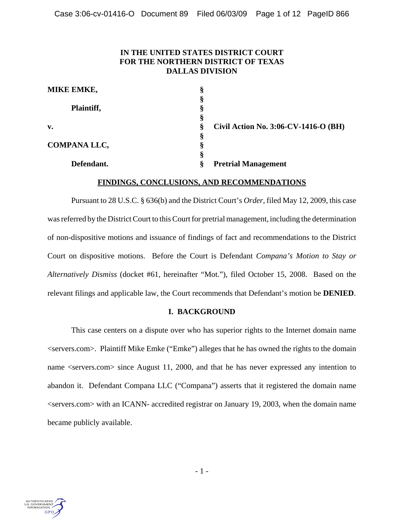# **IN THE UNITED STATES DISTRICT COURT FOR THE NORTHERN DISTRICT OF TEXAS DALLAS DIVISION**

| -1 |                                      |
|----|--------------------------------------|
| ş  | Civil Action No. 3:06-CV-1416-O (BH) |
|    |                                      |
|    |                                      |
|    |                                      |
|    | <b>Pretrial Management</b>           |
|    |                                      |

### **FINDINGS, CONCLUSIONS, AND RECOMMENDATIONS**

Pursuant to 28 U.S.C. § 636(b) and the District Court's *Order*, filed May 12, 2009, this case was referred by the District Court to this Court for pretrial management, including the determination of non-dispositive motions and issuance of findings of fact and recommendations to the District Court on dispositive motions. Before the Court is Defendant *Compana's Motion to Stay or Alternatively Dismiss* (docket #61, hereinafter "Mot."), filed October 15, 2008. Based on the relevant filings and applicable law, the Court recommends that Defendant's motion be **DENIED**.

#### **I. BACKGROUND**

This case centers on a dispute over who has superior rights to the Internet domain name <servers.com>. Plaintiff Mike Emke ("Emke") alleges that he has owned the rights to the domain name <servers.com> since August 11, 2000, and that he has never expressed any intention to abandon it. Defendant Compana LLC ("Compana") asserts that it registered the domain name  $\le$ servers.com $>$  with an ICANN- accredited registrar on January 19, 2003, when the domain name became publicly available.

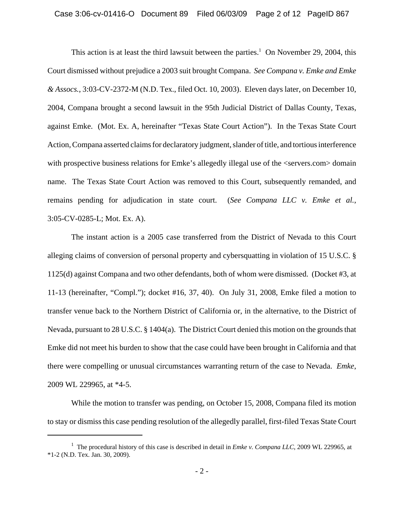#### Case 3:06-cv-01416-O Document 89 Filed 06/03/09 Page 2 of 12 PageID 867

This action is at least the third lawsuit between the parties.<sup>1</sup> On November 29, 2004, this Court dismissed without prejudice a 2003 suit brought Compana. *See Compana v. Emke and Emke & Assocs.*, 3:03-CV-2372-M (N.D. Tex., filed Oct. 10, 2003). Eleven days later, on December 10, 2004, Compana brought a second lawsuit in the 95th Judicial District of Dallas County, Texas, against Emke. (Mot. Ex. A, hereinafter "Texas State Court Action"). In the Texas State Court Action, Compana asserted claims for declaratory judgment, slander of title, and tortious interference with prospective business relations for Emke's allegedly illegal use of the  $\le$ servers.com > domain name. The Texas State Court Action was removed to this Court, subsequently remanded, and remains pending for adjudication in state court. (*See Compana LLC v. Emke et al.*, 3:05-CV-0285-L; Mot. Ex. A).

The instant action is a 2005 case transferred from the District of Nevada to this Court alleging claims of conversion of personal property and cybersquatting in violation of 15 U.S.C. § 1125(d) against Compana and two other defendants, both of whom were dismissed. (Docket #3, at 11-13 (hereinafter, "Compl."); docket #16, 37, 40). On July 31, 2008, Emke filed a motion to transfer venue back to the Northern District of California or, in the alternative, to the District of Nevada, pursuant to 28 U.S.C. § 1404(a). The District Court denied this motion on the grounds that Emke did not meet his burden to show that the case could have been brought in California and that there were compelling or unusual circumstances warranting return of the case to Nevada. *Emke*, 2009 WL 229965, at \*4-5.

While the motion to transfer was pending, on October 15, 2008, Compana filed its motion to stay or dismiss this case pending resolution of the allegedly parallel, first-filed Texas State Court

<sup>&</sup>lt;sup>1</sup> The procedural history of this case is described in detail in *Emke v. Compana LLC*, 2009 WL 229965, at \*1-2 (N.D. Tex. Jan. 30, 2009).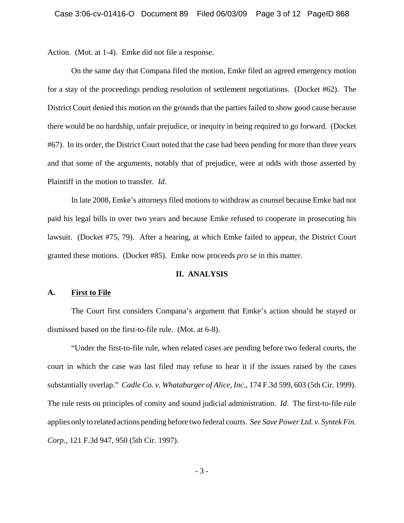Action. (Mot. at 1-4). Emke did not file a response.

On the same day that Compana filed the motion, Emke filed an agreed emergency motion for a stay of the proceedings pending resolution of settlement negotiations. (Docket #62). The District Court denied this motion on the grounds that the parties failed to show good cause because there would be no hardship, unfair prejudice, or inequity in being required to go forward. (Docket #67). In its order, the District Court noted that the case had been pending for more than three years and that some of the arguments, notably that of prejudice, were at odds with those asserted by Plaintiff in the motion to transfer. *Id*.

In late 2008, Emke's attorneys filed motions to withdraw as counsel because Emke had not paid his legal bills in over two years and because Emke refused to cooperate in prosecuting his lawsuit. (Docket #75, 79). After a hearing, at which Emke failed to appear, the District Court granted these motions. (Docket #85). Emke now proceeds *pro se* in this matter.

#### **II. ANALYSIS**

#### **A. First to File**

The Court first considers Compana's argument that Emke's action should be stayed or dismissed based on the first-to-file rule. (Mot. at 6-8).

"Under the first-to-file rule, when related cases are pending before two federal courts, the court in which the case was last filed may refuse to hear it if the issues raised by the cases substantially overlap." *Cadle Co. v. Whataburger of Alice, Inc.*, 174 F.3d 599, 603 (5th Cir. 1999). The rule rests on principles of comity and sound judicial administration. *Id*. The first-to-file rule applies only to related actions pending before two federal courts. *See Save Power Ltd. v. Syntek Fin. Corp.*, 121 F.3d 947, 950 (5th Cir. 1997).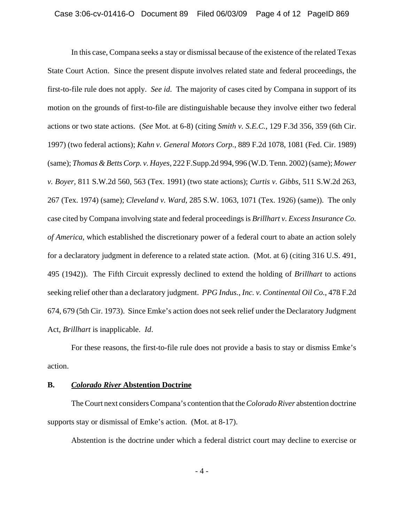In this case, Compana seeks a stay or dismissal because of the existence of the related Texas State Court Action. Since the present dispute involves related state and federal proceedings, the first-to-file rule does not apply. *See id*. The majority of cases cited by Compana in support of its motion on the grounds of first-to-file are distinguishable because they involve either two federal actions or two state actions. (*See* Mot. at 6-8) (citing *Smith v. S.E.C.*, 129 F.3d 356, 359 (6th Cir. 1997) (two federal actions); *Kahn v. General Motors Corp.*, 889 F.2d 1078, 1081 (Fed. Cir. 1989) (same); *Thomas & Betts Corp. v. Hayes*, 222 F.Supp.2d 994, 996 (W.D. Tenn. 2002) (same); *Mower v. Boyer*, 811 S.W.2d 560, 563 (Tex. 1991) (two state actions); *Curtis v. Gibbs*, 511 S.W.2d 263, 267 (Tex. 1974) (same); *Cleveland v. Ward*, 285 S.W. 1063, 1071 (Tex. 1926) (same)). The only case cited by Compana involving state and federal proceedings is *Brillhart v. Excess Insurance Co. of America*, which established the discretionary power of a federal court to abate an action solely for a declaratory judgment in deference to a related state action. (Mot. at 6) (citing 316 U.S. 491, 495 (1942)). The Fifth Circuit expressly declined to extend the holding of *Brillhart* to actions seeking relief other than a declaratory judgment. *PPG Indus., Inc. v. Continental Oil Co.*, 478 F.2d 674, 679 (5th Cir. 1973). Since Emke's action does not seek relief under the Declaratory Judgment Act, *Brillhart* is inapplicable. *Id*.

For these reasons, the first-to-file rule does not provide a basis to stay or dismiss Emke's action.

### **B.** *Colorado River* **Abstention Doctrine**

The Court next considers Compana's contention that the *Colorado River* abstention doctrine supports stay or dismissal of Emke's action. (Mot. at 8-17).

Abstention is the doctrine under which a federal district court may decline to exercise or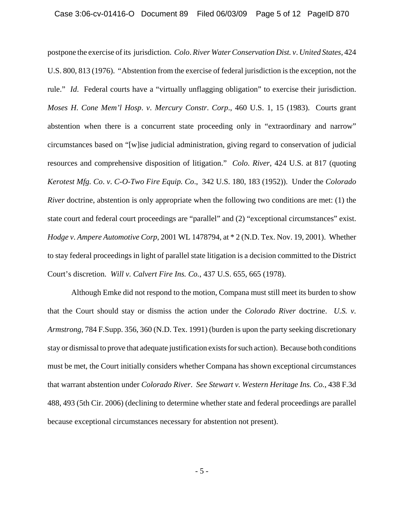postpone the exercise of its jurisdiction. *Colo*. *River Water Conservation Dist. v*. *United States*, 424 U.S. 800, 813 (1976). "Abstention from the exercise of federal jurisdiction is the exception, not the rule." *Id*. Federal courts have a "virtually unflagging obligation" to exercise their jurisdiction. *Moses H*. *Cone Mem'l Hosp*. *v*. *Mercury Constr*. *Corp*., 460 U.S. 1, 15 (1983). Courts grant abstention when there is a concurrent state proceeding only in "extraordinary and narrow" circumstances based on "[w]ise judicial administration, giving regard to conservation of judicial resources and comprehensive disposition of litigation." *Colo*. *River*, 424 U.S. at 817 (quoting *Kerotest Mfg. Co*. *v*. *C-O-Two Fire Equip. Co*., 342 U.S. 180, 183 (1952)). Under the *Colorado River* doctrine, abstention is only appropriate when the following two conditions are met: (1) the state court and federal court proceedings are "parallel" and (2) "exceptional circumstances" exist. *Hodge v*. *Ampere Automotive Corp*, 2001 WL 1478794, at \* 2 (N.D. Tex. Nov. 19, 2001). Whether to stay federal proceedings in light of parallel state litigation is a decision committed to the District Court's discretion. *Will v. Calvert Fire Ins. Co.*, 437 U.S. 655, 665 (1978).

Although Emke did not respond to the motion, Compana must still meet its burden to show that the Court should stay or dismiss the action under the *Colorado River* doctrine. *U.S. v. Armstrong*, 784 F.Supp. 356, 360 (N.D. Tex. 1991) (burden is upon the party seeking discretionary stay or dismissal to prove that adequate justification exists for such action). Because both conditions must be met, the Court initially considers whether Compana has shown exceptional circumstances that warrant abstention under *Colorado River*. *See Stewart v. Western Heritage Ins. Co.*, 438 F.3d 488, 493 (5th Cir. 2006) (declining to determine whether state and federal proceedings are parallel because exceptional circumstances necessary for abstention not present).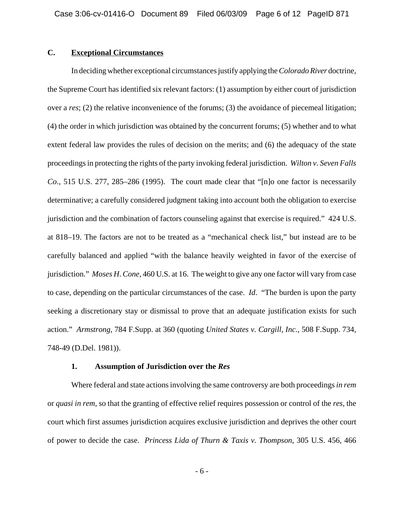# **C. Exceptional Circumstances**

In deciding whether exceptional circumstances justify applying the *Colorado River* doctrine, the Supreme Court has identified six relevant factors: (1) assumption by either court of jurisdiction over a *res*; (2) the relative inconvenience of the forums; (3) the avoidance of piecemeal litigation; (4) the order in which jurisdiction was obtained by the concurrent forums; (5) whether and to what extent federal law provides the rules of decision on the merits; and (6) the adequacy of the state proceedings in protecting the rights of the party invoking federal jurisdiction. *Wilton v*. *Seven Falls Co*., 515 U.S. 277, 285–286 (1995). The court made clear that "[n]o one factor is necessarily determinative; a carefully considered judgment taking into account both the obligation to exercise jurisdiction and the combination of factors counseling against that exercise is required." 424 U.S. at 818–19. The factors are not to be treated as a "mechanical check list," but instead are to be carefully balanced and applied "with the balance heavily weighted in favor of the exercise of jurisdiction." *Moses H*. *Cone*, 460 U.S. at 16. The weight to give any one factor will vary from case to case, depending on the particular circumstances of the case. *Id*. "The burden is upon the party seeking a discretionary stay or dismissal to prove that an adequate justification exists for such action." *Armstrong*, 784 F.Supp. at 360 (quoting *United States v. Cargill, Inc.*, 508 F.Supp. 734, 748-49 (D.Del. 1981)).

### **1. Assumption of Jurisdiction over the** *Res*

Where federal and state actions involving the same controversy are both proceedings *in rem* or *quasi in rem*, so that the granting of effective relief requires possession or control of the *res*, the court which first assumes jurisdiction acquires exclusive jurisdiction and deprives the other court of power to decide the case. *Princess Lida of Thurn & Taxis v. Thompson*, 305 U.S. 456, 466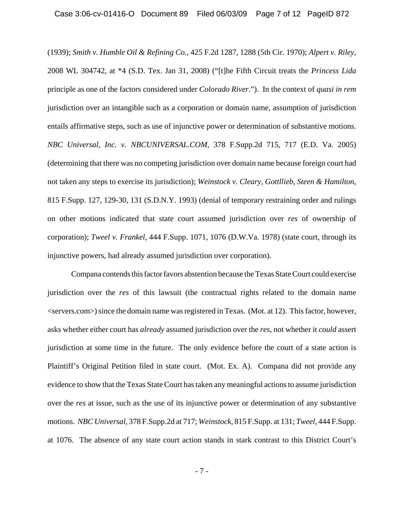(1939); *Smith v. Humble Oil & Refining Co.*, 425 F.2d 1287, 1288 (5th Cir. 1970); *Alpert v. Riley*, 2008 WL 304742, at \*4 (S.D. Tex. Jan 31, 2008) ("[t]he Fifth Circuit treats the *Princess Lida* principle as one of the factors considered under *Colorado River*."). In the context of *quasi in rem* jurisdiction over an intangible such as a corporation or domain name, assumption of jurisdiction entails affirmative steps, such as use of injunctive power or determination of substantive motions. *NBC Universal, Inc. v. NBCUNIVERSAL.COM*, 378 F.Supp.2d 715, 717 (E.D. Va. 2005) (determining that there was no competing jurisdiction over domain name because foreign court had not taken any steps to exercise its jurisdiction); *Weinstock v. Cleary, Gottllieb, Steen & Hamilton*, 815 F.Supp. 127, 129-30, 131 (S.D.N.Y. 1993) (denial of temporary restraining order and rulings on other motions indicated that state court assumed jurisdiction over *res* of ownership of corporation); *Tweel v. Frankel*, 444 F.Supp. 1071, 1076 (D.W.Va. 1978) (state court, through its injunctive powers, had already assumed jurisdiction over corporation).

Compana contends this factor favors abstention because the Texas State Court could exercise jurisdiction over the *res* of this lawsuit (the contractual rights related to the domain name <servers.com>) since the domain name was registered in Texas. (Mot. at 12). This factor, however, asks whether either court has *already* assumed jurisdiction over the *res*, not whether it *could* assert jurisdiction at some time in the future. The only evidence before the court of a state action is Plaintiff's Original Petition filed in state court. (Mot. Ex. A). Compana did not provide any evidence to show that the Texas State Court has taken any meaningful actions to assume jurisdiction over the *res* at issue, such as the use of its injunctive power or determination of any substantive motions. *NBC Universal*, 378 F.Supp.2d at 717; *Weinstock*, 815 F.Supp. at 131; *Tweel*, 444 F.Supp. at 1076. The absence of any state court action stands in stark contrast to this District Court's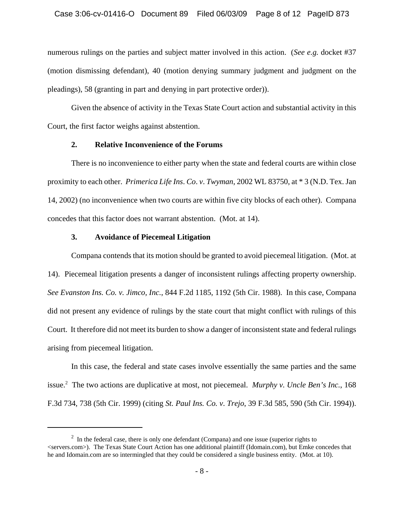numerous rulings on the parties and subject matter involved in this action. (*See e.g.* docket #37 (motion dismissing defendant), 40 (motion denying summary judgment and judgment on the pleadings), 58 (granting in part and denying in part protective order)).

Given the absence of activity in the Texas State Court action and substantial activity in this Court, the first factor weighs against abstention.

# **2. Relative Inconvenience of the Forums**

There is no inconvenience to either party when the state and federal courts are within close proximity to each other. *Primerica Life Ins*. *Co*. *v*. *Twyman*, 2002 WL 83750, at \* 3 (N.D. Tex. Jan 14, 2002) (no inconvenience when two courts are within five city blocks of each other). Compana concedes that this factor does not warrant abstention. (Mot. at 14).

### **3. Avoidance of Piecemeal Litigation**

Compana contends that its motion should be granted to avoid piecemeal litigation. (Mot. at 14). Piecemeal litigation presents a danger of inconsistent rulings affecting property ownership. *See Evanston Ins. Co. v. Jimco, Inc.*, 844 F.2d 1185, 1192 (5th Cir. 1988). In this case, Compana did not present any evidence of rulings by the state court that might conflict with rulings of this Court. It therefore did not meet its burden to show a danger of inconsistent state and federal rulings arising from piecemeal litigation.

In this case, the federal and state cases involve essentially the same parties and the same issue.2 The two actions are duplicative at most, not piecemeal. *Murphy v. Uncle Ben's Inc.*, 168 F.3d 734, 738 (5th Cir. 1999) (citing *St. Paul Ins. Co. v*. *Trejo*, 39 F.3d 585, 590 (5th Cir. 1994)).

 $2<sup>2</sup>$  In the federal case, there is only one defendant (Compana) and one issue (superior rights to <servers.com>). The Texas State Court Action has one additional plaintiff (Idomain.com), but Emke concedes that he and Idomain.com are so intermingled that they could be considered a single business entity. (Mot. at 10).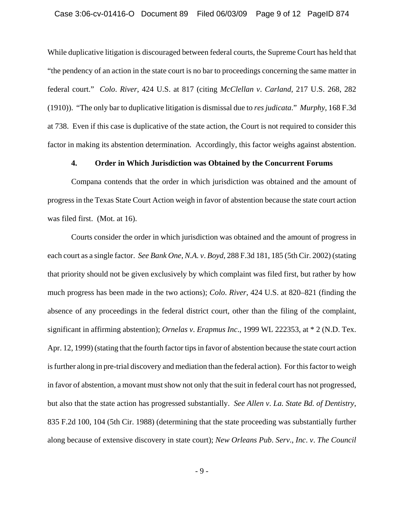While duplicative litigation is discouraged between federal courts, the Supreme Court has held that "the pendency of an action in the state court is no bar to proceedings concerning the same matter in federal court." *Colo*. *River*, 424 U.S. at 817 (citing *McClellan v*. *Carland,* 217 U.S. 268, 282 (1910)). "The only bar to duplicative litigation is dismissal due to *res judicata*." *Murphy*, 168 F.3d at 738. Even if this case is duplicative of the state action, the Court is not required to consider this factor in making its abstention determination. Accordingly, this factor weighs against abstention.

# **4. Order in Which Jurisdiction was Obtained by the Concurrent Forums**

Compana contends that the order in which jurisdiction was obtained and the amount of progress in the Texas State Court Action weigh in favor of abstention because the state court action was filed first. (Mot. at 16).

Courts consider the order in which jurisdiction was obtained and the amount of progress in each court as a single factor. *See Bank One*, *N.A. v*. *Boyd*, 288 F.3d 181, 185 (5th Cir. 2002) (stating that priority should not be given exclusively by which complaint was filed first, but rather by how much progress has been made in the two actions); *Colo*. *River*, 424 U.S. at 820–821 (finding the absence of any proceedings in the federal district court, other than the filing of the complaint, significant in affirming abstention); *Ornelas v*. *Erapmus Inc*., 1999 WL 222353, at \* 2 (N.D. Tex. Apr. 12, 1999) (stating that the fourth factor tips in favor of abstention because the state court action is further along in pre-trial discovery and mediation than the federal action). For this factor to weigh in favor of abstention, a movant must show not only that the suit in federal court has not progressed, but also that the state action has progressed substantially. *See Allen v*. *La. State Bd. of Dentistry*, 835 F.2d 100, 104 (5th Cir. 1988) (determining that the state proceeding was substantially further along because of extensive discovery in state court); *New Orleans Pub*. *Serv*., *Inc*. *v*. *The Council*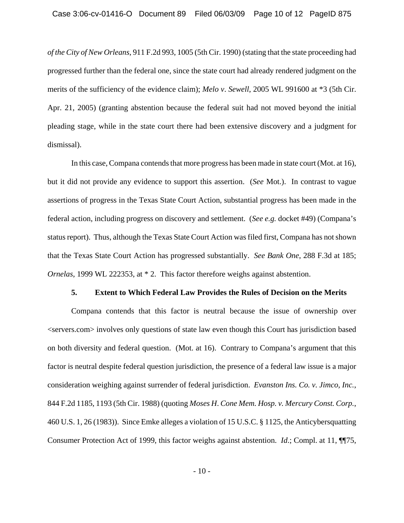*of the City of New Orleans*, 911 F.2d 993, 1005 (5th Cir. 1990) (stating that the state proceeding had progressed further than the federal one, since the state court had already rendered judgment on the merits of the sufficiency of the evidence claim); *Melo v*. *Sewell*, 2005 WL 991600 at \*3 (5th Cir. Apr. 21, 2005) (granting abstention because the federal suit had not moved beyond the initial pleading stage, while in the state court there had been extensive discovery and a judgment for dismissal).

In this case, Compana contends that more progress has been made in state court (Mot. at 16), but it did not provide any evidence to support this assertion. (*See* Mot.). In contrast to vague assertions of progress in the Texas State Court Action, substantial progress has been made in the federal action, including progress on discovery and settlement. (*See e.g.* docket #49) (Compana's status report). Thus, although the Texas State Court Action was filed first, Compana has not shown that the Texas State Court Action has progressed substantially. *See Bank One*, 288 F.3d at 185; *Ornelas*, 1999 WL 222353, at \* 2. This factor therefore weighs against abstention.

#### **5. Extent to Which Federal Law Provides the Rules of Decision on the Merits**

Compana contends that this factor is neutral because the issue of ownership over <servers.com> involves only questions of state law even though this Court has jurisdiction based on both diversity and federal question. (Mot. at 16). Contrary to Compana's argument that this factor is neutral despite federal question jurisdiction, the presence of a federal law issue is a major consideration weighing against surrender of federal jurisdiction. *Evanston Ins. Co. v. Jimco, Inc.*, 844 F.2d 1185, 1193 (5th Cir. 1988) (quoting *Moses H*. *Cone Mem. Hosp. v. Mercury Const. Corp.*, 460 U.S. 1, 26 (1983)). Since Emke alleges a violation of 15 U.S.C. § 1125, the Anticybersquatting Consumer Protection Act of 1999, this factor weighs against abstention. *Id*.; Compl. at 11, ¶¶75,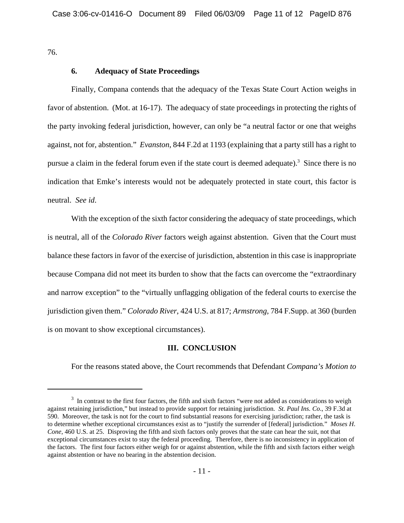76.

# **6. Adequacy of State Proceedings**

Finally, Compana contends that the adequacy of the Texas State Court Action weighs in favor of abstention. (Mot. at 16-17). The adequacy of state proceedings in protecting the rights of the party invoking federal jurisdiction, however, can only be "a neutral factor or one that weighs against, not for, abstention." *Evanston*, 844 F.2d at 1193 (explaining that a party still has a right to pursue a claim in the federal forum even if the state court is deemed adequate).<sup>3</sup> Since there is no indication that Emke's interests would not be adequately protected in state court, this factor is neutral. *See id*.

With the exception of the sixth factor considering the adequacy of state proceedings, which is neutral, all of the *Colorado River* factors weigh against abstention. Given that the Court must balance these factors in favor of the exercise of jurisdiction, abstention in this case is inappropriate because Compana did not meet its burden to show that the facts can overcome the "extraordinary and narrow exception" to the "virtually unflagging obligation of the federal courts to exercise the jurisdiction given them." *Colorado River*, 424 U.S. at 817; *Armstrong*, 784 F.Supp. at 360 (burden is on movant to show exceptional circumstances).

# **III. CONCLUSION**

For the reasons stated above, the Court recommends that Defendant *Compana's Motion to*

 $3\,$  In contrast to the first four factors, the fifth and sixth factors "were not added as considerations to weigh against retaining jurisdiction," but instead to provide support for retaining jurisdiction. *St. Paul Ins. Co*., 39 F.3d at 590. Moreover, the task is not for the court to find substantial reasons for exercising jurisdiction; rather, the task is to determine whether exceptional circumstances exist as to "justify the surrender of [federal] jurisdiction." *Moses H*. *Cone*, 460 U.S. at 25. Disproving the fifth and sixth factors only proves that the state can hear the suit, not that exceptional circumstances exist to stay the federal proceeding. Therefore, there is no inconsistency in application of the factors. The first four factors either weigh for or against abstention, while the fifth and sixth factors either weigh against abstention or have no bearing in the abstention decision.